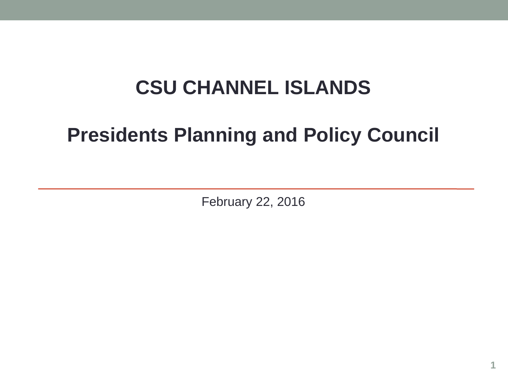## **CSU CHANNEL ISLANDS**

# **Presidents Planning and Policy Council**

February 22, 2016

**1**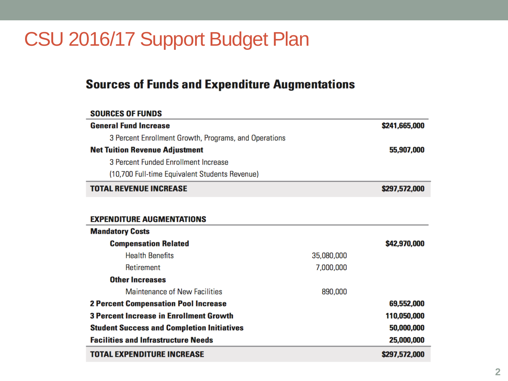#### CSU 2016/17 Support Budget Plan

#### **Sources of Funds and Expenditure Augmentations**

#### **SOURCES OF FUNDS General Fund Increase** \$241.665.000 3 Percent Enrollment Growth, Programs, and Operations **Net Tuition Revenue Adjustment** 55,907,000 3 Percent Funded Enrollment Increase (10,700 Full-time Equivalent Students Revenue) **TOTAL REVENUE INCREASE** \$297,572,000 **EXPENDITURE AUGMENTATIONS Mandatory Costs Compensation Related** \$42,970,000 **Health Benefits** 35,080,000 Retirement 7,000,000 **Other Increases Maintenance of New Facilities** 890,000 **2 Percent Compensation Pool Increase** 69,552,000 **3 Percent Increase in Enrollment Growth** 110,050,000 **Student Success and Completion Initiatives** 50,000,000 **Facilities and Infrastructure Needs** 25,000,000 **TOTAL EXPENDITURE INCREASE** \$297,572,000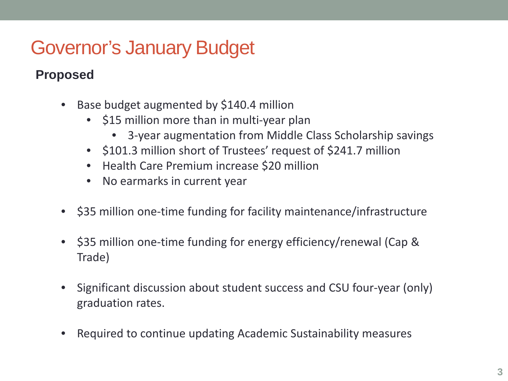# Governor's January Budget

#### **Proposed**

- Base budget augmented by \$140.4 million
	- \$15 million more than in multi-year plan
		- 3-year augmentation from Middle Class Scholarship savings
	- \$101.3 million short of Trustees' request of \$241.7 million
	- Health Care Premium increase \$20 million
	- No earmarks in current year
- \$35 million one-time funding for facility maintenance/infrastructure
- \$35 million one-time funding for energy efficiency/renewal (Cap & Trade)
- Significant discussion about student success and CSU four-year (only) graduation rates.
- Required to continue updating Academic Sustainability measures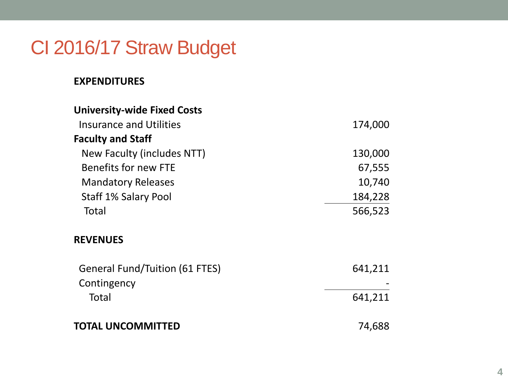#### CI 2016/17 Straw Budget

#### **EXPENDITURES**

| <b>University-wide Fixed Costs</b>                   |         |
|------------------------------------------------------|---------|
| <b>Insurance and Utilities</b>                       | 174,000 |
| <b>Faculty and Staff</b>                             |         |
| New Faculty (includes NTT)                           | 130,000 |
| Benefits for new FTE                                 | 67,555  |
| <b>Mandatory Releases</b>                            | 10,740  |
| Staff 1% Salary Pool                                 | 184,228 |
| Total                                                | 566,523 |
| <b>REVENUES</b>                                      |         |
| <b>General Fund/Tuition (61 FTES)</b><br>Contingency | 641,211 |
| Total                                                | 641,211 |
| <b>TOTAL UNCOMMITTED</b>                             | 74,688  |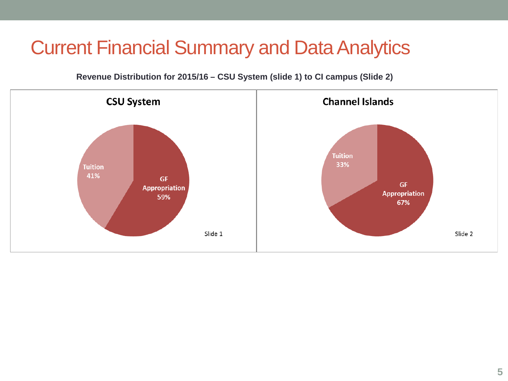**Revenue Distribution for 2015/16 – CSU System (slide 1) to CI campus (Slide 2)**

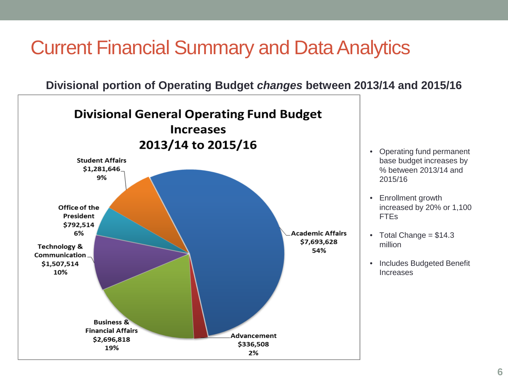**Divisional portion of Operating Budget** *changes* **between 2013/14 and 2015/16**

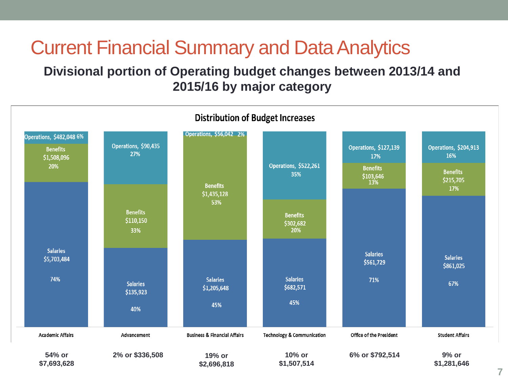#### **Divisional portion of Operating budget changes between 2013/14 and 2015/16 by major category**

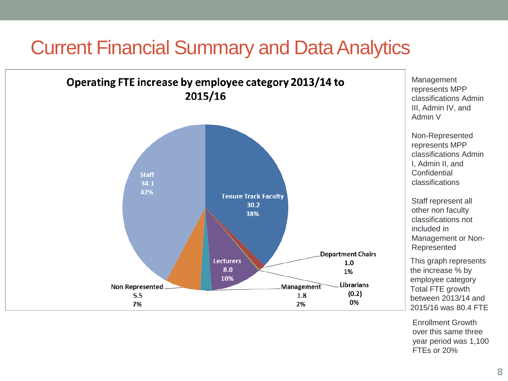

Enrollment Growth over this same three year period was 1,100 FTEs or 20%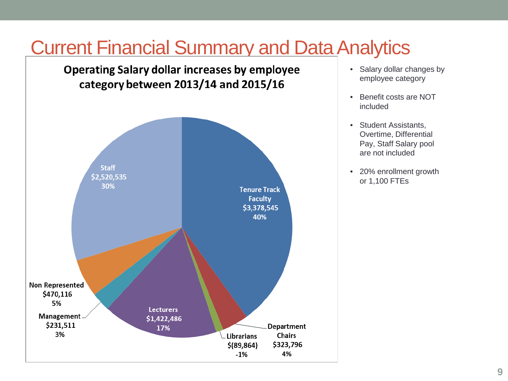**Operating Salary dollar increases by employee** category between 2013/14 and 2015/16



- Salary dollar changes by employee category
- Benefit costs are NOT included
- Student Assistants, Overtime, Differential Pay, Staff Salary pool are not included
- 20% enrollment growth or 1,100 FTEs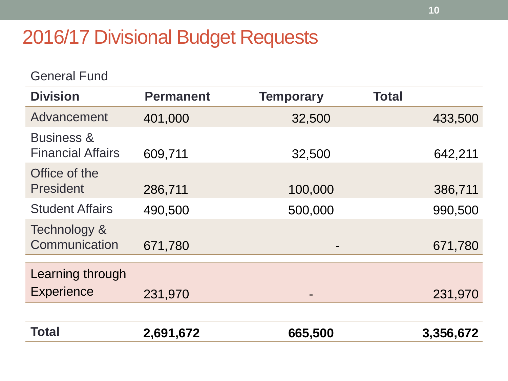### 2016/17 Divisional Budget Requests

General Fund

| <b>Division</b>                                   | <b>Permanent</b> | <b>Temporary</b> | <b>Total</b> |         |
|---------------------------------------------------|------------------|------------------|--------------|---------|
| Advancement                                       | 401,000          | 32,500           |              | 433,500 |
| <b>Business &amp;</b><br><b>Financial Affairs</b> | 609,711          | 32,500           |              | 642,211 |
| Office of the<br><b>President</b>                 | 286,711          | 100,000          |              | 386,711 |
| <b>Student Affairs</b>                            | 490,500          | 500,000          |              | 990,500 |
| Technology &<br>Communication                     | 671,780          | -                |              | 671,780 |
| Learning through                                  |                  |                  |              |         |
| <b>Experience</b>                                 | 231,970          |                  |              | 231,970 |
|                                                   |                  |                  |              |         |

| <b>Total</b> | 2,691,672 | 665,500 | 3,356,672 |
|--------------|-----------|---------|-----------|
|              |           |         |           |